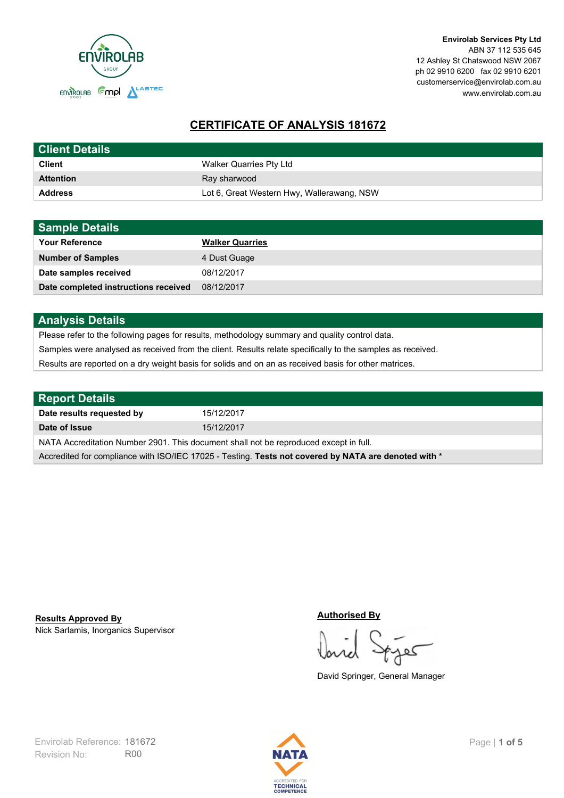

**Envirolab Services Pty Ltd** ABN 37 112 535 645 12 Ashley St Chatswood NSW 2067 ph 02 9910 6200 fax 02 9910 6201 customerservice@envirolab.com.au www.envirolab.com.au

# **CERTIFICATE OF ANALYSIS 181672**

| <b>Client Details</b> |                                            |
|-----------------------|--------------------------------------------|
| <b>Client</b>         | Walker Quarries Pty Ltd                    |
| <b>Attention</b>      | Ray sharwood                               |
| <b>Address</b>        | Lot 6, Great Western Hwy, Wallerawang, NSW |

| <b>Sample Details</b>                |                        |
|--------------------------------------|------------------------|
| <b>Your Reference</b>                | <b>Walker Quarries</b> |
| <b>Number of Samples</b>             | 4 Dust Guage           |
| Date samples received                | 08/12/2017             |
| Date completed instructions received | 08/12/2017             |

## **Analysis Details**

Please refer to the following pages for results, methodology summary and quality control data.

Samples were analysed as received from the client. Results relate specifically to the samples as received.

Results are reported on a dry weight basis for solids and on an as received basis for other matrices.

| <b>Report Details</b>                                                                                |            |  |
|------------------------------------------------------------------------------------------------------|------------|--|
| Date results requested by                                                                            | 15/12/2017 |  |
| Date of Issue                                                                                        | 15/12/2017 |  |
| NATA Accreditation Number 2901. This document shall not be reproduced except in full.                |            |  |
| Accredited for compliance with ISO/IEC 17025 - Testing. Tests not covered by NATA are denoted with * |            |  |

Nick Sarlamis, Inorganics Supervisor **Results Approved By**

#### **Authorised By**

کھ

David Springer, General Manager

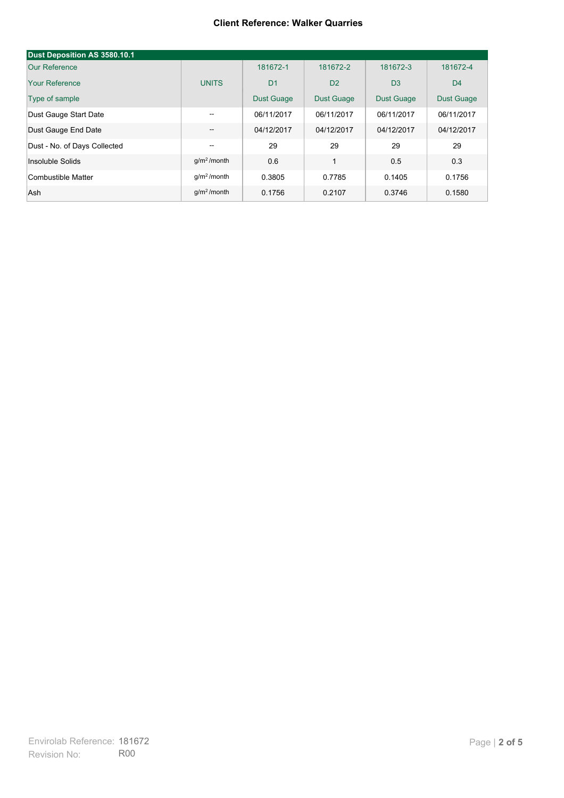#### **Client Reference: Walker Quarries**

| Dust Deposition AS 3580.10.1 |                         |                   |                   |                   |                   |
|------------------------------|-------------------------|-------------------|-------------------|-------------------|-------------------|
| Our Reference                |                         | 181672-1          | 181672-2          | 181672-3          | 181672-4          |
| Your Reference               | <b>UNITS</b>            | D <sub>1</sub>    | D <sub>2</sub>    | D <sub>3</sub>    | D <sub>4</sub>    |
| Type of sample               |                         | <b>Dust Guage</b> | <b>Dust Guage</b> | <b>Dust Guage</b> | <b>Dust Guage</b> |
| Dust Gauge Start Date        | $- -$                   | 06/11/2017        | 06/11/2017        | 06/11/2017        | 06/11/2017        |
| Dust Gauge End Date          | --                      | 04/12/2017        | 04/12/2017        | 04/12/2017        | 04/12/2017        |
| Dust - No. of Days Collected | --                      | 29                | 29                | 29                | 29                |
| Insoluble Solids             | $q/m2$ /month           | 0.6               | 1                 | 0.5               | 0.3               |
| Combustible Matter           | q/m <sup>2</sup> /month | 0.3805            | 0.7785            | 0.1405            | 0.1756            |
| Ash                          | $q/m2$ /month           | 0.1756            | 0.2107            | 0.3746            | 0.1580            |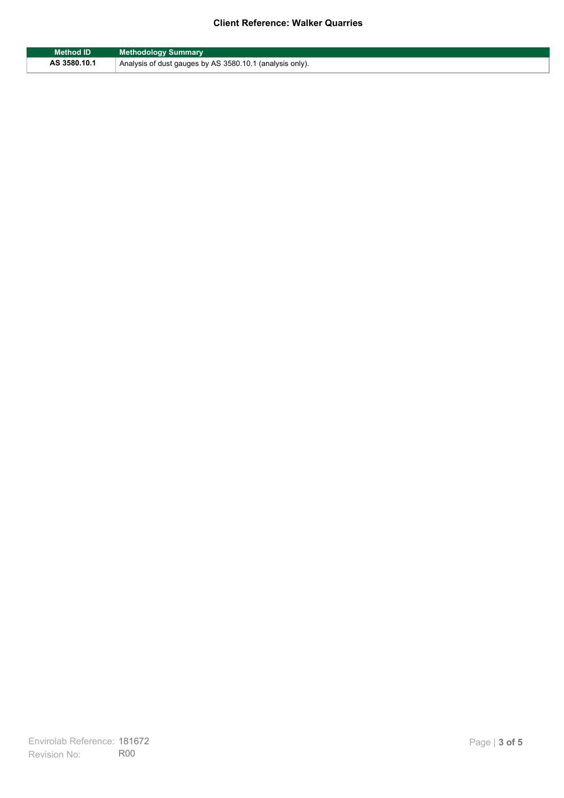## **Client Reference: Walker Quarries**

| Method ID    | <b>Methodology Summary</b>                               |
|--------------|----------------------------------------------------------|
| AS 3580.10.1 | Analysis of dust gauges by AS 3580.10.1 (analysis only). |

F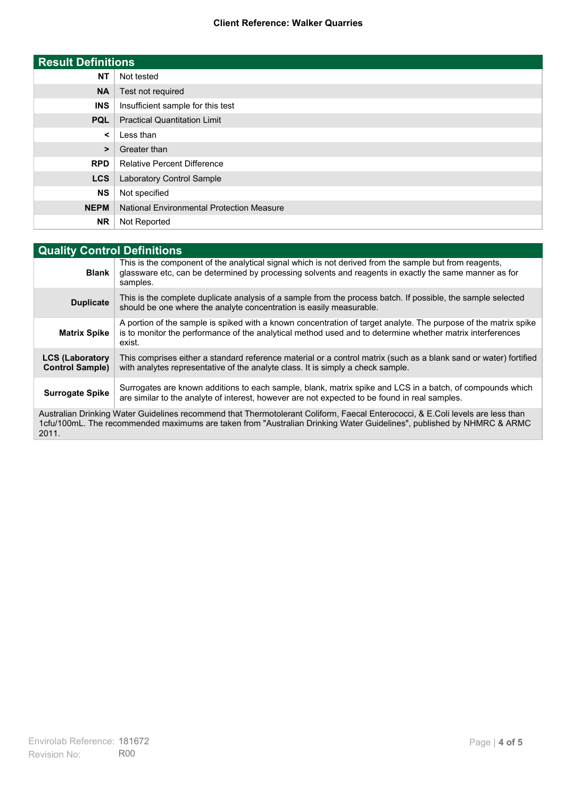### **Client Reference: Walker Quarries**

| <b>Result Definitions</b> |                                                  |
|---------------------------|--------------------------------------------------|
| <b>NT</b>                 | Not tested                                       |
| <b>NA</b>                 | Test not required                                |
| <b>INS</b>                | Insufficient sample for this test                |
| <b>PQL</b>                | <b>Practical Quantitation Limit</b>              |
| $\prec$                   | Less than                                        |
| $\geq$                    | Greater than                                     |
| <b>RPD</b>                | <b>Relative Percent Difference</b>               |
| <b>LCS</b>                | Laboratory Control Sample                        |
| <b>NS</b>                 | Not specified                                    |
| <b>NEPM</b>               | <b>National Environmental Protection Measure</b> |
| <b>NR</b>                 | Not Reported                                     |

| <b>Quality Control Definitions</b>               |                                                                                                                                                                                                                                                         |  |
|--------------------------------------------------|---------------------------------------------------------------------------------------------------------------------------------------------------------------------------------------------------------------------------------------------------------|--|
| <b>Blank</b>                                     | This is the component of the analytical signal which is not derived from the sample but from reagents,<br>glassware etc, can be determined by processing solvents and reagents in exactly the same manner as for<br>samples.                            |  |
| <b>Duplicate</b>                                 | This is the complete duplicate analysis of a sample from the process batch. If possible, the sample selected<br>should be one where the analyte concentration is easily measurable.                                                                     |  |
| <b>Matrix Spike</b>                              | A portion of the sample is spiked with a known concentration of target analyte. The purpose of the matrix spike<br>is to monitor the performance of the analytical method used and to determine whether matrix interferences<br>exist.                  |  |
| <b>LCS (Laboratory</b><br><b>Control Sample)</b> | This comprises either a standard reference material or a control matrix (such as a blank sand or water) fortified<br>with analytes representative of the analyte class. It is simply a check sample.                                                    |  |
| <b>Surrogate Spike</b>                           | Surrogates are known additions to each sample, blank, matrix spike and LCS in a batch, of compounds which<br>are similar to the analyte of interest, however are not expected to be found in real samples.                                              |  |
|                                                  | Australian Drinking Water Guidelines recommend that Thermotolerant Coliform, Faecal Enterococci, & E.Coli levels are less than<br>1cfu/100mL. The recommended maximums are taken from "Australian Drinking Water Guidelines", published by NHMRC & ARMC |  |

2011.